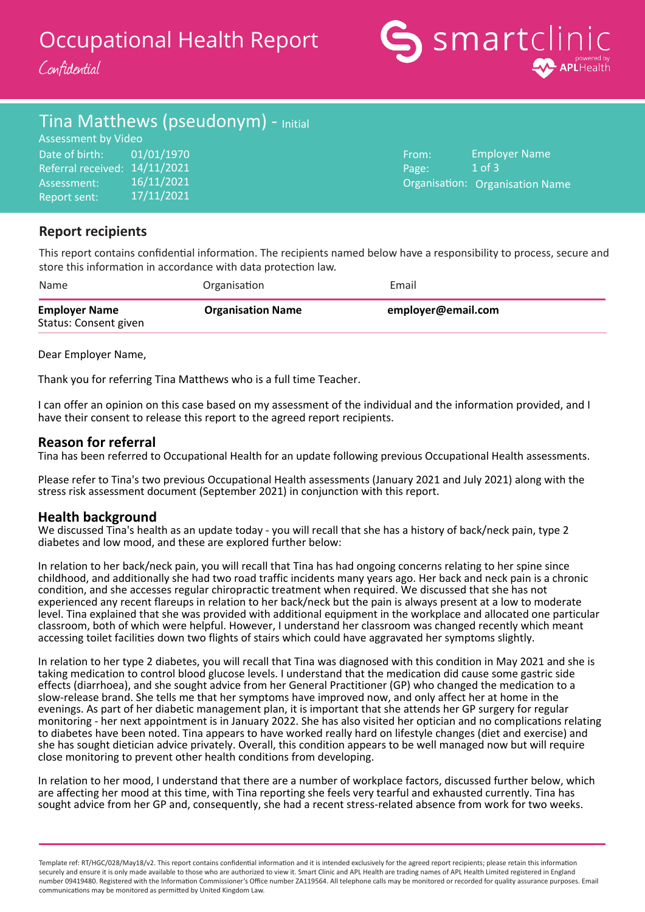# Occupational Health Report

Confidential



# Tina Matthews (pseudonym) - Initial

Date of birth: Referral received: 14/11/2021 Assessment: Report sent: Assessment by Video 01/01/1970 16/11/2021 17/11/2021

From: Page: Organisation: Organisation NameEmployer Name 1 of 3

## **Report recipients**

This report contains confidential information. The recipients named below have a responsibility to process, secure and store this information in accordance with data protection law.

| Name                                          | Organisation             | Email              |
|-----------------------------------------------|--------------------------|--------------------|
| <b>Employer Name</b><br>Status: Consent given | <b>Organisation Name</b> | employer@email.com |

Dear Employer Name,

Thank you for referring Tina Matthews who is a full time Teacher.

I can offer an opinion on this case based on my assessment of the individual and the information provided, and I have their consent to release this report to the agreed report recipients.

### **Reason for referral**

Tina has been referred to Occupational Health for an update following previous Occupational Health assessments.

Please refer to Tina's two previous Occupational Health assessments (January 2021 and July 2021) along with the stress risk assessment document (September 2021) in conjunction with this report.

### **Health background**

We discussed Tina's health as an update today - you will recall that she has a history of back/neck pain, type 2 diabetes and low mood, and these are explored further below:

In relation to her back/neck pain, you will recall that Tina has had ongoing concerns relating to her spine since childhood, and additionally she had two road traffic incidents many years ago. Her back and neck pain is a chronic condition, and she accesses regular chiropractic treatment when required. We discussed that she has not experienced any recent flareups in relation to her back/neck but the pain is always present at a low to moderate level. Tina explained that she was provided with additional equipment in the workplace and allocated one particular classroom, both of which were helpful. However, I understand her classroom was changed recently which meant accessing toilet facilities down two flights of stairs which could have aggravated her symptoms slightly.

In relation to her type 2 diabetes, you will recall that Tina was diagnosed with this condition in May 2021 and she is taking medication to control blood glucose levels. I understand that the medication did cause some gastric side effects (diarrhoea), and she sought advice from her General Practitioner (GP) who changed the medication to a slow-release brand. She tells me that her symptoms have improved now, and only affect her at home in the evenings. As part of her diabetic management plan, it is important that she attends her GP surgery for regular monitoring - her next appointment is in January 2022. She has also visited her optician and no complications relating to diabetes have been noted. Tina appears to have worked really hard on lifestyle changes (diet and exercise) and she has sought dietician advice privately. Overall, this condition appears to be well managed now but will require close monitoring to prevent other health conditions from developing.

In relation to her mood, I understand that there are a number of workplace factors, discussed further below, which are affecting her mood at this time, with Tina reporting she feels very tearful and exhausted currently. Tina has sought advice from her GP and, consequently, she had a recent stress-related absence from work for two weeks.

Template ref: RT/HGC/028/May18/v2. This report contains confidential information and it is intended exclusively for the agreed report recipients; please retain this information securely and ensure it is only made available to those who are authorized to view it. Smart Clinic and APL Health are trading names of APL Health Limited registered in England number 09419480. Registered with the Information Commissioner's Office number ZA119564. All telephone calls may be monitored or recorded for quality assurance purposes. Email communications may be monitored as permitted by United Kingdom Law.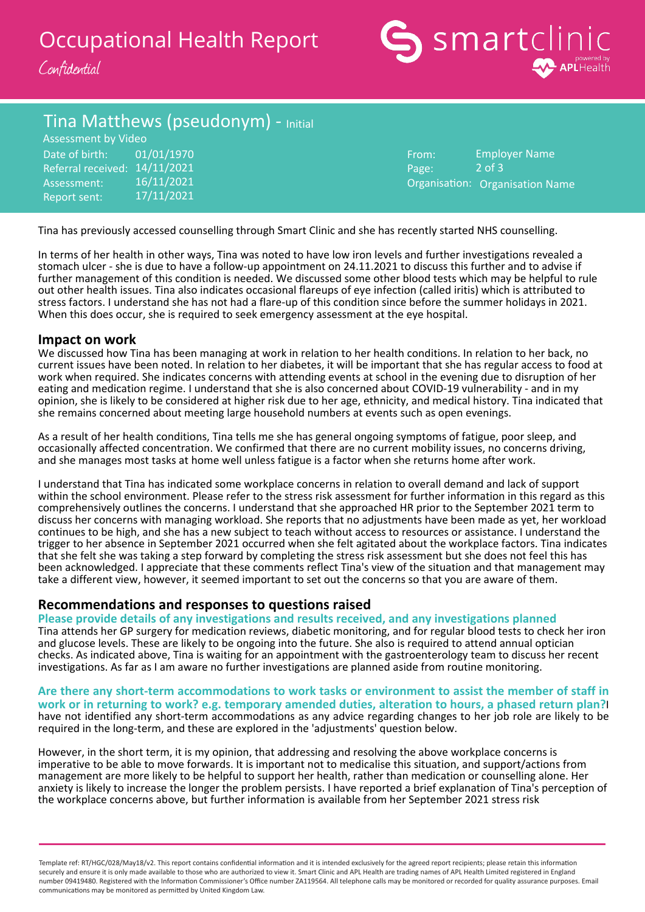



## Tina Matthews (pseudonym) - Initial

Date of birth: Referral received: 14/11/2021 Assessment: Report sent: Assessment by Video 01/01/1970 16/11/2021 17/11/2021

From: Page: Organisation: Organisation NameEmployer Name 2 of 3

Tina has previously accessed counselling through Smart Clinic and she has recently started NHS counselling.

In terms of her health in other ways, Tina was noted to have low iron levels and further investigations revealed a stomach ulcer - she is due to have a follow-up appointment on 24.11.2021 to discuss this further and to advise if further management of this condition is needed. We discussed some other blood tests which may be helpful to rule out other health issues. Tina also indicates occasional flareups of eye infection (called iritis) which is attributed to stress factors. I understand she has not had a flare-up of this condition since before the summer holidays in 2021. When this does occur, she is required to seek emergency assessment at the eye hospital.

### **Impact on work**

We discussed how Tina has been managing at work in relation to her health conditions. In relation to her back, no current issues have been noted. In relation to her diabetes, it will be important that she has regular access to food at work when required. She indicates concerns with attending events at school in the evening due to disruption of her eating and medication regime. I understand that she is also concerned about COVID-19 vulnerability - and in my opinion, she is likely to be considered at higher risk due to her age, ethnicity, and medical history. Tina indicated that she remains concerned about meeting large household numbers at events such as open evenings.

As a result of her health conditions, Tina tells me she has general ongoing symptoms of fatigue, poor sleep, and occasionally affected concentration. We confirmed that there are no current mobility issues, no concerns driving, and she manages most tasks at home well unless fatigue is a factor when she returns home after work.

I understand that Tina has indicated some workplace concerns in relation to overall demand and lack of support within the school environment. Please refer to the stress risk assessment for further information in this regard as this comprehensively outlines the concerns. I understand that she approached HR prior to the September 2021 term to discuss her concerns with managing workload. She reports that no adjustments have been made as yet, her workload continues to be high, and she has a new subject to teach without access to resources or assistance. I understand the trigger to her absence in September 2021 occurred when she felt agitated about the workplace factors. Tina indicates that she felt she was taking a step forward by completing the stress risk assessment but she does not feel this has been acknowledged. I appreciate that these comments reflect Tina's view of the situation and that management may take a different view, however, it seemed important to set out the concerns so that you are aware of them.

### **Recommendations and responses to questions raised**

**Please provide details of any investigations and results received, and any investigations planned** Tina attends her GP surgery for medication reviews, diabetic monitoring, and for regular blood tests to check her iron and glucose levels. These are likely to be ongoing into the future. She also is required to attend annual optician checks. As indicated above, Tina is waiting for an appointment with the gastroenterology team to discuss her recent investigations. As far as I am aware no further investigations are planned aside from routine monitoring.

**Are there any short-term accommodations to work tasks or environment to assist the member of staff in work or in returning to work? e.g. temporary amended duties, alteration to hours, a phased return plan?**I have not identified any short-term accommodations as any advice regarding changes to her job role are likely to be required in the long-term, and these are explored in the 'adjustments' question below.

However, in the short term, it is my opinion, that addressing and resolving the above workplace concerns is imperative to be able to move forwards. It is important not to medicalise this situation, and support/actions from management are more likely to be helpful to support her health, rather than medication or counselling alone. Her anxiety is likely to increase the longer the problem persists. I have reported a brief explanation of Tina's perception of the workplace concerns above, but further information is available from her September 2021 stress risk

Template ref: RT/HGC/028/May18/v2. This report contains confidential information and it is intended exclusively for the agreed report recipients; please retain this information securely and ensure it is only made available to those who are authorized to view it. Smart Clinic and APL Health are trading names of APL Health Limited registered in England number 09419480. Registered with the Information Commissioner's Office number ZA119564. All telephone calls may be monitored or recorded for quality assurance purposes. Email communications may be monitored as permitted by United Kingdom Law.